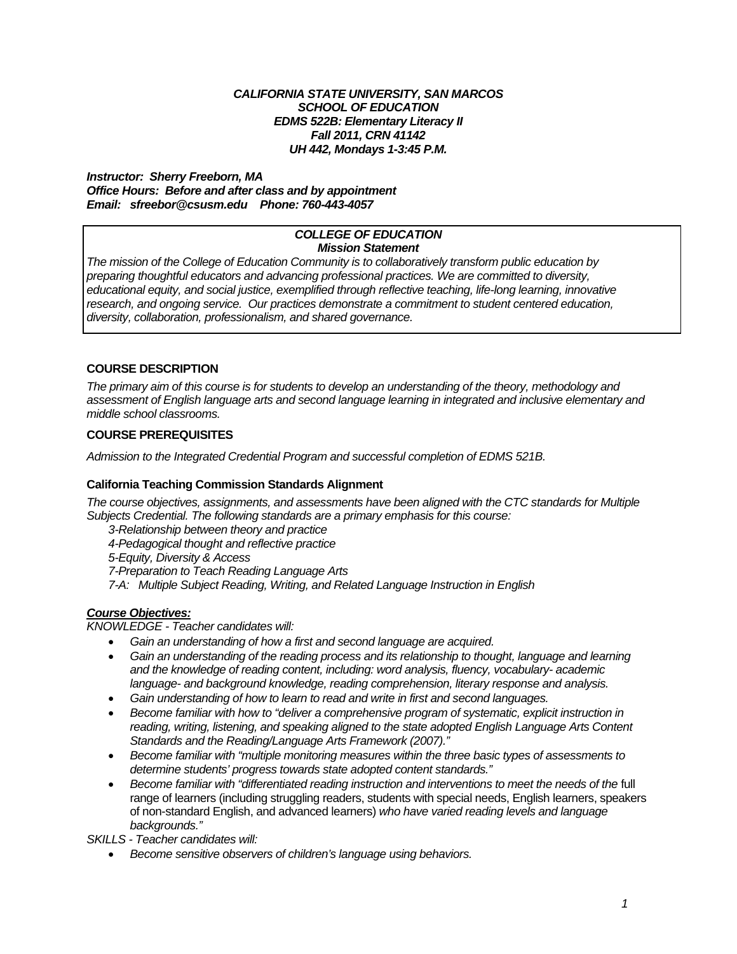### *CALIFORNIA STATE UNIVERSITY, SAN MARCOS SCHOOL OF EDUCATION EDMS 522B: Elementary Literacy II Fall 2011, CRN 41142 UH 442, Mondays 1-3:45 P.M.*

#### *Email: sfreebor@csusm.edu Phone: 760-443-4057 Instructor: Sherry Freeborn, MA Office Hours: Before and after class and by appointment*

#### *COLLEGE OF EDUCATION Mission Statement*

 *preparing thoughtful educators and advancing professional practices. We are committed to diversity, The mission of the College of Education Community is to collaboratively transform public education by educational equity, and social justice, exemplified through reflective teaching, life-long learning, innovative research, and ongoing service. Our practices demonstrate a commitment to student centered education, diversity, collaboration, professionalism, and shared governance.* 

## **COURSE DESCRIPTION**

*The primary aim of this course is for students to develop an understanding of the theory, methodology and assessment of English language arts and second language learning in integrated and inclusive elementary and middle school classrooms.* 

## **COURSE PREREQUISITES**

*Admission to the Integrated Credential Program and successful completion of EDMS 521B.* 

## **California Teaching Commission Standards Alignment**

 *Subjects Credential. The following standards are a primary emphasis for this course: The course objectives, assignments, and assessments have been aligned with the CTC standards for Multiple* 

*3-Relationship between theory and practice* 

*4-Pedagogical thought and reflective practice* 

*5-Equity, Diversity & Access* 

*7-Preparation to Teach Reading Language Arts* 

*7-A: Multiple Subject Reading, Writing, and Related Language Instruction in English* 

## *Course Objectives:*

*KNOWLEDGE - Teacher candidates will:* 

- *Gain an understanding of how a first and second language are acquired.*
- Gain an understanding of the reading process and its relationship to thought, language and learning *and the knowledge of reading content, including: word analysis, fluency, vocabulary- academic language- and background knowledge, reading comprehension, literary response and analysis.*
- *Gain understanding of how to learn to read and write in first and second languages.*
- *Become familiar with how to "deliver a comprehensive program of systematic, explicit instruction in reading, writing, listening, and speaking aligned to the state adopted English Language Arts Content Standards and the Reading/Language Arts Framework (2007)."*
- *Become familiar with "multiple monitoring measures within the three basic types of assessments to determine students' progress towards state adopted content standards."*
- *Become familiar with "differentiated reading instruction and interventions to meet the needs of the full* range of learners (including struggling readers, students with special needs, English learners, speakers of non-standard English, and advanced learners) *who have varied reading levels and language backgrounds."*

*SKILLS - Teacher candidates will:* 

*Become sensitive observers of children's language using behaviors.*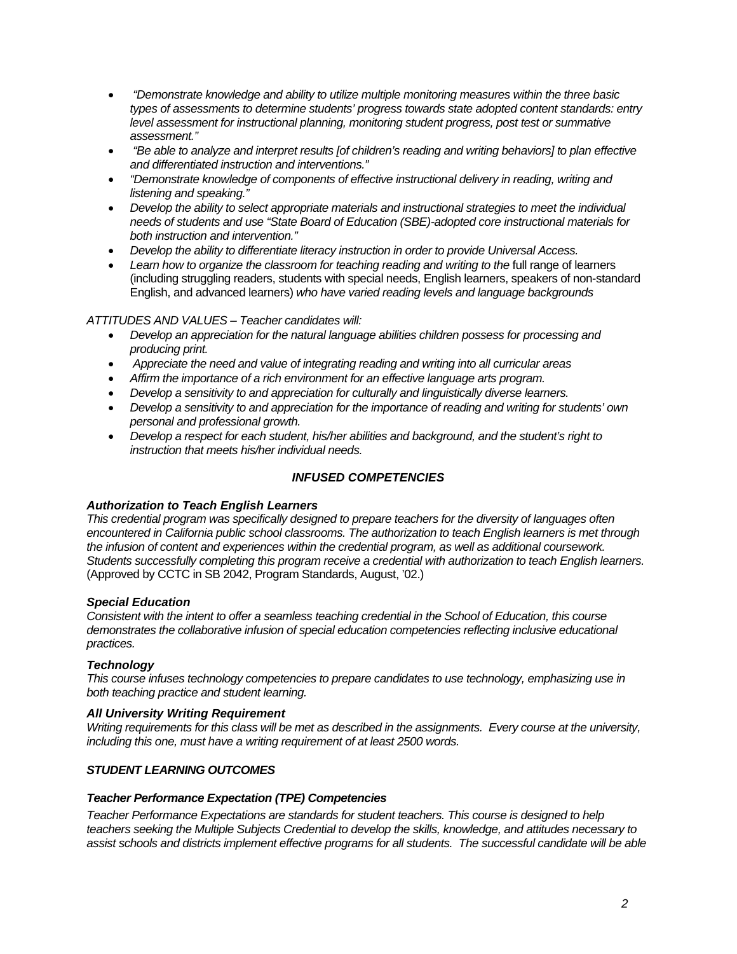- *"Demonstrate knowledge and ability to utilize multiple monitoring measures within the three basic types of assessments to determine students' progress towards state adopted content standards: entry level assessment for instructional planning, monitoring student progress, post test or summative assessment."*
- *"Be able to analyze and interpret results [of children's reading and writing behaviors] to plan effective and differentiated instruction and interventions."*
- *"Demonstrate knowledge of components of effective instructional delivery in reading, writing and listening and speaking."*
- *Develop the ability to select appropriate materials and instructional strategies to meet the individual needs of students and use "State Board of Education (SBE)-adopted core instructional materials for both instruction and intervention."*
- *Develop the ability to differentiate literacy instruction in order to provide Universal Access.*
- Learn how to organize the classroom for teaching reading and writing to the full range of learners (including struggling readers, students with special needs, English learners, speakers of non-standard English, and advanced learners) *who have varied reading levels and language backgrounds*

### *ATTITUDES AND VALUES – Teacher candidates will:*

- *Develop an appreciation for the natural language abilities children possess for processing and producing print.*
- *Appreciate the need and value of integrating reading and writing into all curricular areas*
- *Affirm the importance of a rich environment for an effective language arts program.*
- *Develop a sensitivity to and appreciation for culturally and linguistically diverse learners.*
- *Develop a sensitivity to and appreciation for the importance of reading and writing for students' own personal and professional growth.*
- *Develop a respect for each student, his/her abilities and background, and the student's right to instruction that meets his/her individual needs.*

## *INFUSED COMPETENCIES*

### *Authorization to Teach English Learners*

*This credential program was specifically designed to prepare teachers for the diversity of languages often encountered in California public school classrooms. The authorization to teach English learners is met through the infusion of content and experiences within the credential program, as well as additional coursework. Students successfully completing this program receive a credential with authorization to teach English learners.*  (Approved by CCTC in SB 2042, Program Standards, August, '02.)

### *Special Education*

*Consistent with the intent to offer a seamless teaching credential in the School of Education, this course demonstrates the collaborative infusion of special education competencies reflecting inclusive educational practices.* 

## *Technology*

*This course infuses technology competencies to prepare candidates to use technology, emphasizing use in both teaching practice and student learning.* 

### *All University Writing Requirement*

*Writing requirements for this class will be met as described in the assignments. Every course at the university, including this one, must have a writing requirement of at least 2500 words.* 

## *STUDENT LEARNING OUTCOMES*

### *Teacher Performance Expectation (TPE) Competencies*

*Teacher Performance Expectations are standards for student teachers. This course is designed to help teachers seeking the Multiple Subjects Credential to develop the skills, knowledge, and attitudes necessary to assist schools and districts implement effective programs for all students. The successful candidate will be able*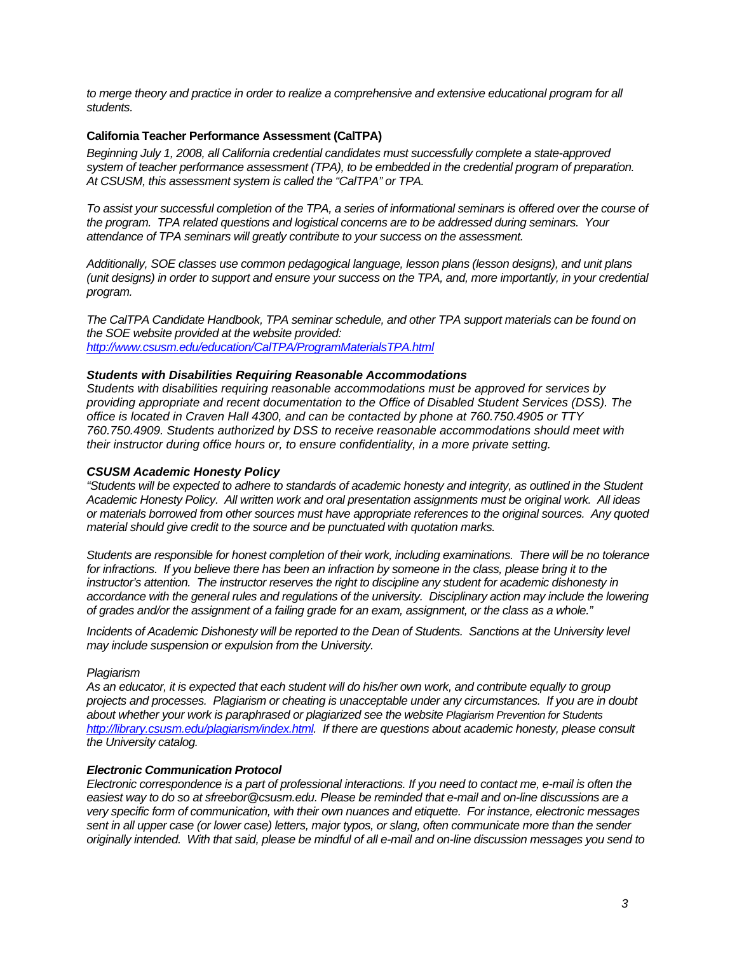*to merge theory and practice in order to realize a comprehensive and extensive educational program for all students.* 

### **California Teacher Performance Assessment (CalTPA)**

*Beginning July 1, 2008, all California credential candidates must successfully complete a state-approved system of teacher performance assessment (TPA), to be embedded in the credential program of preparation. At CSUSM, this assessment system is called the "CalTPA" or TPA.* 

*To assist your successful completion of the TPA, a series of informational seminars is offered over the course of the program. TPA related questions and logistical concerns are to be addressed during seminars. Your attendance of TPA seminars will greatly contribute to your success on the assessment.* 

*Additionally, SOE classes use common pedagogical language, lesson plans (lesson designs), and unit plans (unit designs) in order to support and ensure your success on the TPA, and, more importantly, in your credential program.* 

*The CalTPA Candidate Handbook, TPA seminar schedule, and other TPA support materials can be found on the SOE website provided at the website provided: http://www.csusm.edu/education/CalTPA/ProgramMaterialsTPA.html* 

### *Students with Disabilities Requiring Reasonable Accommodations*

*Students with disabilities requiring reasonable accommodations must be approved for services by providing appropriate and recent documentation to the Office of Disabled Student Services (DSS). The office is located in Craven Hall 4300, and can be contacted by phone at 760.750.4905 or TTY 760.750.4909. Students authorized by DSS to receive reasonable accommodations should meet with their instructor during office hours or, to ensure confidentiality, in a more private setting.* 

#### *CSUSM Academic Honesty Policy*

*"Students will be expected to adhere to standards of academic honesty and integrity, as outlined in the Student Academic Honesty Policy. All written work and oral presentation assignments must be original work. All ideas or materials borrowed from other sources must have appropriate references to the original sources. Any quoted material should give credit to the source and be punctuated with quotation marks.* 

 *of grades and/or the assignment of a failing grade for an exam, assignment, or the class as a whole." Students are responsible for honest completion of their work, including examinations. There will be no tolerance*  for infractions. If you believe there has been an infraction by someone in the class, please bring it to the instructor's attention. The instructor reserves the right to discipline any student for academic dishonesty in *accordance with the general rules and regulations of the university. Disciplinary action may include the lowering* 

*Incidents of Academic Dishonesty will be reported to the Dean of Students. Sanctions at the University level may include suspension or expulsion from the University.* 

#### *Plagiarism*

 *the University catalog. As an educator, it is expected that each student will do his/her own work, and contribute equally to group projects and processes. Plagiarism or cheating is unacceptable under any circumstances. If you are in doubt about whether your work is paraphrased or plagiarized see the website Plagiarism Prevention for Students http://library.csusm.edu/plagiarism/index.html. If there are questions about academic honesty, please consult* 

#### *Electronic Communication Protocol*

sent in all upper case (or lower case) letters, major typos, or slang, often communicate more than the sender *Electronic correspondence is a part of professional interactions. If you need to contact me, e-mail is often the easiest way to do so at sfreebor@csusm.edu. Please be reminded that e-mail and on-line discussions are a very specific form of communication, with their own nuances and etiquette. For instance, electronic messages originally intended. With that said, please be mindful of all e-mail and on-line discussion messages you send to*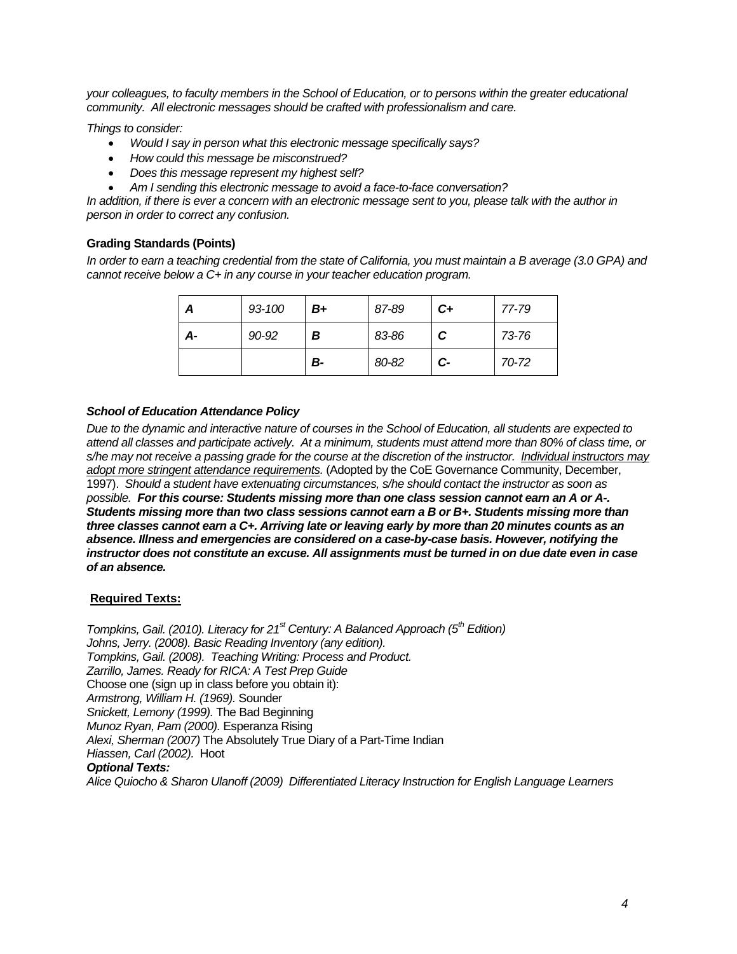*your colleagues, to faculty members in the School of Education, or to persons within the greater educational community. All electronic messages should be crafted with professionalism and care.* 

*Things to consider:* 

- *Would I say in person what this electronic message specifically says?*
- *How could this message be misconstrued?*
- *Does this message represent my highest self?*
- *Am I sending this electronic message to avoid a face-to-face conversation?*

*In addition, if there is ever a concern with an electronic message sent to you, please talk with the author in person in order to correct any confusion.* 

### **Grading Standards (Points)**

*In order to earn a teaching credential from the state of California, you must maintain a B average (3.0 GPA) and cannot receive below a C+ in any course in your teacher education program.* 

| Α  | 93-100 | B+ | 87-89 | $c_{+}$         | 77-79 |
|----|--------|----|-------|-----------------|-------|
| А- | 90-92  | В  | 83-86 | C               | 73-76 |
|    |        | В- | 80-82 | $\mathcal{C}$ - | 70-72 |

## *School of Education Attendance Policy*

*Due to the dynamic and interactive nature of courses in the School of Education, all students are expected to attend all classes and participate actively. At a minimum, students must attend more than 80% of class time, or s/he may not receive a passing grade for the course at the discretion of the instructor. Individual instructors may adopt more stringent attendance requirements.* (Adopted by the CoE Governance Community, December, 1997). *Should a student have extenuating circumstances, s/he should contact the instructor as soon as possible. For this course: Students missing more than one class session cannot earn an A or A-. Students missing more than two class sessions cannot earn a B or B+. Students missing more than three classes cannot earn a C+. Arriving late or leaving early by more than 20 minutes counts as an absence. Illness and emergencies are considered on a case-by-case basis. However, notifying the instructor does not constitute an excuse. All assignments must be turned in on due date even in case of an absence.* 

## **Required Texts:**

 *Tompkins, Gail. (2008). Teaching Writing: Process and Product. Tompkins, Gail. (2010). Literacy for 21<sup>st</sup> Century: A Balanced Approach (5<sup>th</sup> Edition) Johns, Jerry. (2008). Basic Reading Inventory (any edition). Zarrillo, James. Ready for RICA: A Test Prep Guide*  Choose one (sign up in class before you obtain it): *Armstrong, William H. (1969).* Sounder *Snickett, Lemony (1999).* The Bad Beginning *Munoz Ryan, Pam (2000).* Esperanza Rising *Alexi, Sherman (2007)* The Absolutely True Diary of a Part-Time Indian *Hiassen, Carl (2002).* Hoot *Optional Texts: Alice Quiocho & Sharon Ulanoff (2009) Differentiated Literacy Instruction for English Language Learners*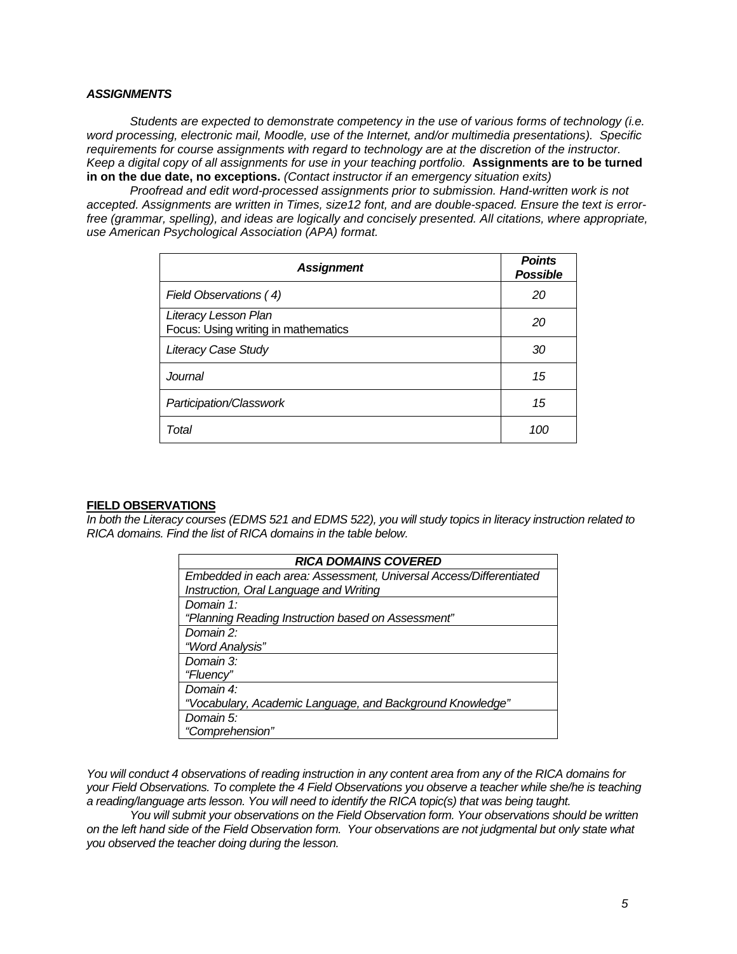### *ASSIGNMENTS*

*Students are expected to demonstrate competency in the use of various forms of technology (i.e. word processing, electronic mail, Moodle, use of the Internet, and/or multimedia presentations). Specific requirements for course assignments with regard to technology are at the discretion of the instructor. Keep a digital copy of all assignments for use in your teaching portfolio.* **Assignments are to be turned in on the due date, no exceptions.** *(Contact instructor if an emergency situation exits)* 

*Proofread and edit word-processed assignments prior to submission. Hand-written work is not accepted. Assignments are written in Times, size12 font, and are double-spaced. Ensure the text is errorfree (grammar, spelling), and ideas are logically and concisely presented. All citations, where appropriate, use American Psychological Association (APA) format.* 

| <b>Assignment</b>                                           | <b>Points</b><br><b>Possible</b> |
|-------------------------------------------------------------|----------------------------------|
| Field Observations (4)                                      | 20                               |
| Literacy Lesson Plan<br>Focus: Using writing in mathematics | 20                               |
| <b>Literacy Case Study</b>                                  | 30                               |
| Journal                                                     | 15                               |
| Participation/Classwork                                     | 15                               |
| Total                                                       | 100                              |

### **FIELD OBSERVATIONS**

*In both the Literacy courses (EDMS 521 and EDMS 522), you will study topics in literacy instruction related to RICA domains. Find the list of RICA domains in the table below.* 

| <b>RICA DOMAINS COVERED</b>                                        |  |  |
|--------------------------------------------------------------------|--|--|
| Embedded in each area: Assessment, Universal Access/Differentiated |  |  |
| Instruction, Oral Language and Writing                             |  |  |
| Domain 1:                                                          |  |  |
| "Planning Reading Instruction based on Assessment"                 |  |  |
| Domain 2:                                                          |  |  |
| "Word Analysis"                                                    |  |  |
| Domain 3:                                                          |  |  |
| "Fluency"                                                          |  |  |
| Domain 4:                                                          |  |  |
| "Vocabulary, Academic Language, and Background Knowledge"          |  |  |
| Domain 5:                                                          |  |  |
| "Comprehension"                                                    |  |  |

You will conduct 4 observations of reading instruction in any content area from any of the RICA domains for *your Field Observations. To complete the 4 Field Observations you observe a teacher while she/he is teaching a reading/language arts lesson. You will need to identify the RICA topic(s) that was being taught.* 

*You will submit your observations on the Field Observation form. Your observations should be written on the left hand side of the Field Observation form. Your observations are not judgmental but only state what you observed the teacher doing during the lesson.*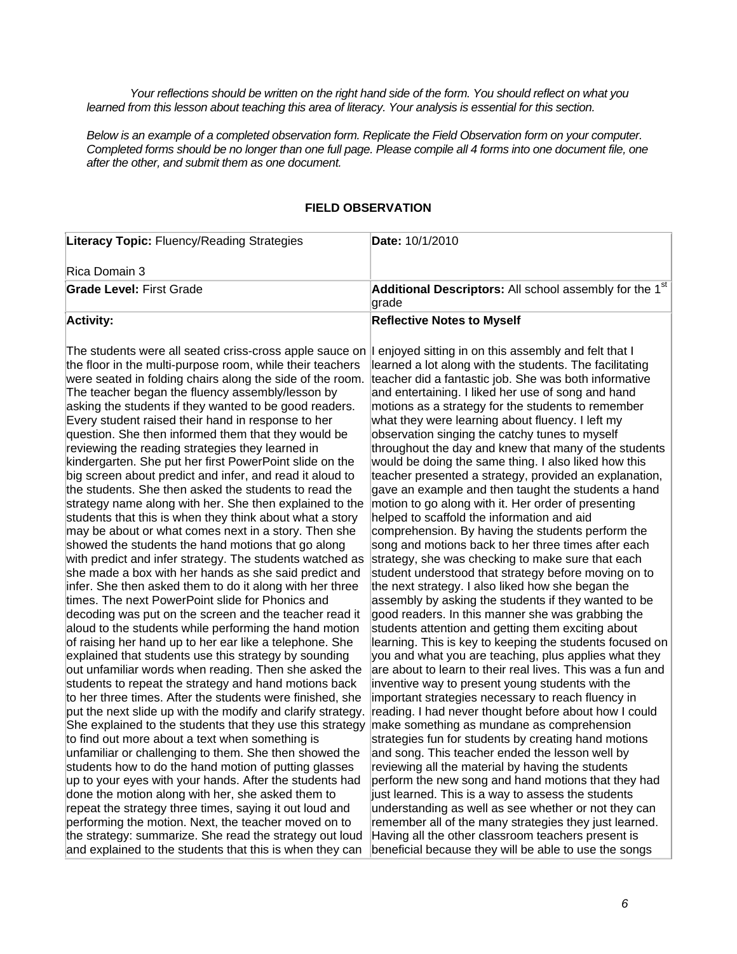Your reflections should be written on the right hand side of the form. You should reflect on what you learned from this lesson about teaching this area of literacy. Your analysis is essential for this section.

*Below is an example of a completed observation form. Replicate the Field Observation form on your computer. Completed forms should be no longer than one full page. Please compile all 4 forms into one document file, one after the other, and submit them as one document.* 

# **FIELD OBSERVATION**

| Literacy Topic: Fluency/Reading Strategies                                                                                                                                                                                                                                                                                                                                                                                                                                                                                                                                                                                                                                                                                                                                                                                                                                                                                                                                                                                                                                                                                                                                                                                                                                                                                                                                                                                                                                                                                                                                                                                                                                                                                       | Date: 10/1/2010                                                                                                                                                                                                                                                                                                                                                                                                                                                                                                                                                                                                                                                                                                                                                                                                                                                                                                                                                                                                                                                                                                                                                                                                                                                                                                                                                                                                                                                                                                                                                                                                                               |  |
|----------------------------------------------------------------------------------------------------------------------------------------------------------------------------------------------------------------------------------------------------------------------------------------------------------------------------------------------------------------------------------------------------------------------------------------------------------------------------------------------------------------------------------------------------------------------------------------------------------------------------------------------------------------------------------------------------------------------------------------------------------------------------------------------------------------------------------------------------------------------------------------------------------------------------------------------------------------------------------------------------------------------------------------------------------------------------------------------------------------------------------------------------------------------------------------------------------------------------------------------------------------------------------------------------------------------------------------------------------------------------------------------------------------------------------------------------------------------------------------------------------------------------------------------------------------------------------------------------------------------------------------------------------------------------------------------------------------------------------|-----------------------------------------------------------------------------------------------------------------------------------------------------------------------------------------------------------------------------------------------------------------------------------------------------------------------------------------------------------------------------------------------------------------------------------------------------------------------------------------------------------------------------------------------------------------------------------------------------------------------------------------------------------------------------------------------------------------------------------------------------------------------------------------------------------------------------------------------------------------------------------------------------------------------------------------------------------------------------------------------------------------------------------------------------------------------------------------------------------------------------------------------------------------------------------------------------------------------------------------------------------------------------------------------------------------------------------------------------------------------------------------------------------------------------------------------------------------------------------------------------------------------------------------------------------------------------------------------------------------------------------------------|--|
| Rica Domain 3                                                                                                                                                                                                                                                                                                                                                                                                                                                                                                                                                                                                                                                                                                                                                                                                                                                                                                                                                                                                                                                                                                                                                                                                                                                                                                                                                                                                                                                                                                                                                                                                                                                                                                                    |                                                                                                                                                                                                                                                                                                                                                                                                                                                                                                                                                                                                                                                                                                                                                                                                                                                                                                                                                                                                                                                                                                                                                                                                                                                                                                                                                                                                                                                                                                                                                                                                                                               |  |
| <b>Grade Level: First Grade</b>                                                                                                                                                                                                                                                                                                                                                                                                                                                                                                                                                                                                                                                                                                                                                                                                                                                                                                                                                                                                                                                                                                                                                                                                                                                                                                                                                                                                                                                                                                                                                                                                                                                                                                  | Additional Descriptors: All school assembly for the 1 <sup>st</sup><br>grade                                                                                                                                                                                                                                                                                                                                                                                                                                                                                                                                                                                                                                                                                                                                                                                                                                                                                                                                                                                                                                                                                                                                                                                                                                                                                                                                                                                                                                                                                                                                                                  |  |
| <b>Activity:</b>                                                                                                                                                                                                                                                                                                                                                                                                                                                                                                                                                                                                                                                                                                                                                                                                                                                                                                                                                                                                                                                                                                                                                                                                                                                                                                                                                                                                                                                                                                                                                                                                                                                                                                                 | <b>Reflective Notes to Myself</b>                                                                                                                                                                                                                                                                                                                                                                                                                                                                                                                                                                                                                                                                                                                                                                                                                                                                                                                                                                                                                                                                                                                                                                                                                                                                                                                                                                                                                                                                                                                                                                                                             |  |
| The students were all seated criss-cross apple sauce on<br>the floor in the multi-purpose room, while their teachers<br>were seated in folding chairs along the side of the room.<br>The teacher began the fluency assembly/lesson by<br>asking the students if they wanted to be good readers.<br>Every student raised their hand in response to her<br>question. She then informed them that they would be<br>reviewing the reading strategies they learned in<br>kindergarten. She put her first PowerPoint slide on the<br>big screen about predict and infer, and read it aloud to<br>the students. She then asked the students to read the<br>strategy name along with her. She then explained to the<br>students that this is when they think about what a story<br>may be about or what comes next in a story. Then she<br>showed the students the hand motions that go along<br>with predict and infer strategy. The students watched as<br>she made a box with her hands as she said predict and<br>infer. She then asked them to do it along with her three<br>times. The next PowerPoint slide for Phonics and<br>decoding was put on the screen and the teacher read it<br>aloud to the students while performing the hand motion<br>of raising her hand up to her ear like a telephone. She<br>explained that students use this strategy by sounding<br>out unfamiliar words when reading. Then she asked the<br>students to repeat the strategy and hand motions back<br>to her three times. After the students were finished, she<br>put the next slide up with the modify and clarify strategy.<br>She explained to the students that they use this strategy<br>to find out more about a text when something is | enjoyed sitting in on this assembly and felt that I<br>learned a lot along with the students. The facilitating<br>teacher did a fantastic job. She was both informative<br>and entertaining. I liked her use of song and hand<br>motions as a strategy for the students to remember<br>what they were learning about fluency. I left my<br>observation singing the catchy tunes to myself<br>throughout the day and knew that many of the students<br>would be doing the same thing. I also liked how this<br>teacher presented a strategy, provided an explanation,<br>gave an example and then taught the students a hand<br>motion to go along with it. Her order of presenting<br>helped to scaffold the information and aid<br>comprehension. By having the students perform the<br>song and motions back to her three times after each<br>strategy, she was checking to make sure that each<br>student understood that strategy before moving on to<br>the next strategy. I also liked how she began the<br>assembly by asking the students if they wanted to be<br>good readers. In this manner she was grabbing the<br>students attention and getting them exciting about<br>learning. This is key to keeping the students focused on<br>you and what you are teaching, plus applies what they<br>are about to learn to their real lives. This was a fun and<br>inventive way to present young students with the<br>important strategies necessary to reach fluency in<br>reading. I had never thought before about how I could<br>make something as mundane as comprehension<br>strategies fun for students by creating hand motions |  |
| unfamiliar or challenging to them. She then showed the                                                                                                                                                                                                                                                                                                                                                                                                                                                                                                                                                                                                                                                                                                                                                                                                                                                                                                                                                                                                                                                                                                                                                                                                                                                                                                                                                                                                                                                                                                                                                                                                                                                                           | and song. This teacher ended the lesson well by                                                                                                                                                                                                                                                                                                                                                                                                                                                                                                                                                                                                                                                                                                                                                                                                                                                                                                                                                                                                                                                                                                                                                                                                                                                                                                                                                                                                                                                                                                                                                                                               |  |
| students how to do the hand motion of putting glasses<br>up to your eyes with your hands. After the students had                                                                                                                                                                                                                                                                                                                                                                                                                                                                                                                                                                                                                                                                                                                                                                                                                                                                                                                                                                                                                                                                                                                                                                                                                                                                                                                                                                                                                                                                                                                                                                                                                 | reviewing all the material by having the students<br>perform the new song and hand motions that they had                                                                                                                                                                                                                                                                                                                                                                                                                                                                                                                                                                                                                                                                                                                                                                                                                                                                                                                                                                                                                                                                                                                                                                                                                                                                                                                                                                                                                                                                                                                                      |  |
| done the motion along with her, she asked them to                                                                                                                                                                                                                                                                                                                                                                                                                                                                                                                                                                                                                                                                                                                                                                                                                                                                                                                                                                                                                                                                                                                                                                                                                                                                                                                                                                                                                                                                                                                                                                                                                                                                                | just learned. This is a way to assess the students                                                                                                                                                                                                                                                                                                                                                                                                                                                                                                                                                                                                                                                                                                                                                                                                                                                                                                                                                                                                                                                                                                                                                                                                                                                                                                                                                                                                                                                                                                                                                                                            |  |
| repeat the strategy three times, saying it out loud and                                                                                                                                                                                                                                                                                                                                                                                                                                                                                                                                                                                                                                                                                                                                                                                                                                                                                                                                                                                                                                                                                                                                                                                                                                                                                                                                                                                                                                                                                                                                                                                                                                                                          | understanding as well as see whether or not they can                                                                                                                                                                                                                                                                                                                                                                                                                                                                                                                                                                                                                                                                                                                                                                                                                                                                                                                                                                                                                                                                                                                                                                                                                                                                                                                                                                                                                                                                                                                                                                                          |  |
| performing the motion. Next, the teacher moved on to                                                                                                                                                                                                                                                                                                                                                                                                                                                                                                                                                                                                                                                                                                                                                                                                                                                                                                                                                                                                                                                                                                                                                                                                                                                                                                                                                                                                                                                                                                                                                                                                                                                                             | remember all of the many strategies they just learned.                                                                                                                                                                                                                                                                                                                                                                                                                                                                                                                                                                                                                                                                                                                                                                                                                                                                                                                                                                                                                                                                                                                                                                                                                                                                                                                                                                                                                                                                                                                                                                                        |  |
| the strategy: summarize. She read the strategy out loud<br>and explained to the students that this is when they can                                                                                                                                                                                                                                                                                                                                                                                                                                                                                                                                                                                                                                                                                                                                                                                                                                                                                                                                                                                                                                                                                                                                                                                                                                                                                                                                                                                                                                                                                                                                                                                                              | Having all the other classroom teachers present is<br>beneficial because they will be able to use the songs                                                                                                                                                                                                                                                                                                                                                                                                                                                                                                                                                                                                                                                                                                                                                                                                                                                                                                                                                                                                                                                                                                                                                                                                                                                                                                                                                                                                                                                                                                                                   |  |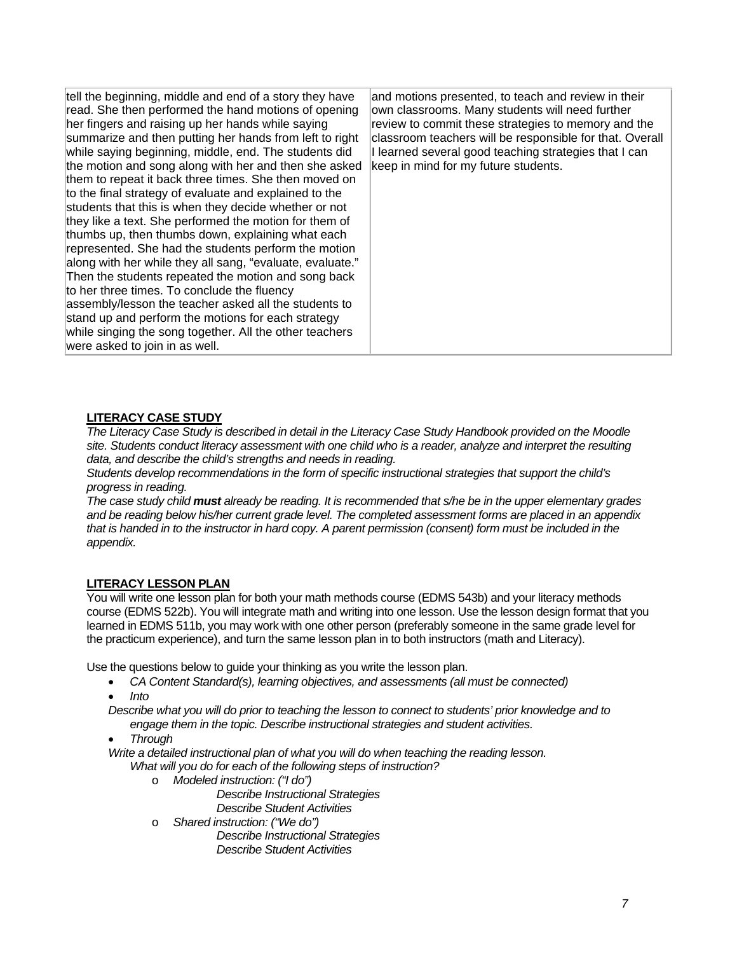| tell the beginning, middle and end of a story they have<br>read. She then performed the hand motions of opening<br>her fingers and raising up her hands while saying<br>summarize and then putting her hands from left to right<br>while saying beginning, middle, end. The students did<br>the motion and song along with her and then she asked<br>them to repeat it back three times. She then moved on<br>to the final strategy of evaluate and explained to the<br>students that this is when they decide whether or not<br>they like a text. She performed the motion for them of<br>thumbs up, then thumbs down, explaining what each<br>represented. She had the students perform the motion<br>along with her while they all sang, "evaluate, evaluate."<br>Then the students repeated the motion and song back<br>to her three times. To conclude the fluency<br>assembly/lesson the teacher asked all the students to<br>stand up and perform the motions for each strategy<br>while singing the song together. All the other teachers<br>were asked to join in as well. | and motions presented, to teach and review in their<br>own classrooms. Many students will need further<br>review to commit these strategies to memory and the<br>classroom teachers will be responsible for that. Overall<br>I learned several good teaching strategies that I can<br>keep in mind for my future students. |
|-------------------------------------------------------------------------------------------------------------------------------------------------------------------------------------------------------------------------------------------------------------------------------------------------------------------------------------------------------------------------------------------------------------------------------------------------------------------------------------------------------------------------------------------------------------------------------------------------------------------------------------------------------------------------------------------------------------------------------------------------------------------------------------------------------------------------------------------------------------------------------------------------------------------------------------------------------------------------------------------------------------------------------------------------------------------------------------|----------------------------------------------------------------------------------------------------------------------------------------------------------------------------------------------------------------------------------------------------------------------------------------------------------------------------|
|-------------------------------------------------------------------------------------------------------------------------------------------------------------------------------------------------------------------------------------------------------------------------------------------------------------------------------------------------------------------------------------------------------------------------------------------------------------------------------------------------------------------------------------------------------------------------------------------------------------------------------------------------------------------------------------------------------------------------------------------------------------------------------------------------------------------------------------------------------------------------------------------------------------------------------------------------------------------------------------------------------------------------------------------------------------------------------------|----------------------------------------------------------------------------------------------------------------------------------------------------------------------------------------------------------------------------------------------------------------------------------------------------------------------------|

## **LITERACY CASE STUDY**

*The Literacy Case Study is described in detail in the Literacy Case Study Handbook provided on the Moodle site. Students conduct literacy assessment with one child who is a reader, analyze and interpret the resulting data, and describe the child's strengths and needs in reading.* 

*Students develop recommendations in the form of specific instructional strategies that support the child's progress in reading.* 

*The case study child must already be reading. It is recommended that s/he be in the upper elementary grades and be reading below his/her current grade level. The completed assessment forms are placed in an appendix that is handed in to the instructor in hard copy. A parent permission (consent) form must be included in the appendix.* 

## **LITERACY LESSON PLAN**

You will write one lesson plan for both your math methods course (EDMS 543b) and your literacy methods course (EDMS 522b). You will integrate math and writing into one lesson. Use the lesson design format that you learned in EDMS 511b, you may work with one other person (preferably someone in the same grade level for the practicum experience), and turn the same lesson plan in to both instructors (math and Literacy).

Use the questions below to guide your thinking as you write the lesson plan.

- CA Content Standard(s), learning objectives, and assessments (all must be connected)
- *Into*
- *Describe what you will do prior to teaching the lesson to connect to students' prior knowledge and to engage them in the topic. Describe instructional strategies and student activities.*
- *Through*

*Write a detailed instructional plan of what you will do when teaching the reading lesson. What will you do for each of the following steps of instruction?* 

- o *Modeled instruction: ("I do") Describe Instructional Strategies* 
	- *Describe Student Activities*
- o *Shared instruction: ("We do") Describe Instructional Strategies Describe Student Activities*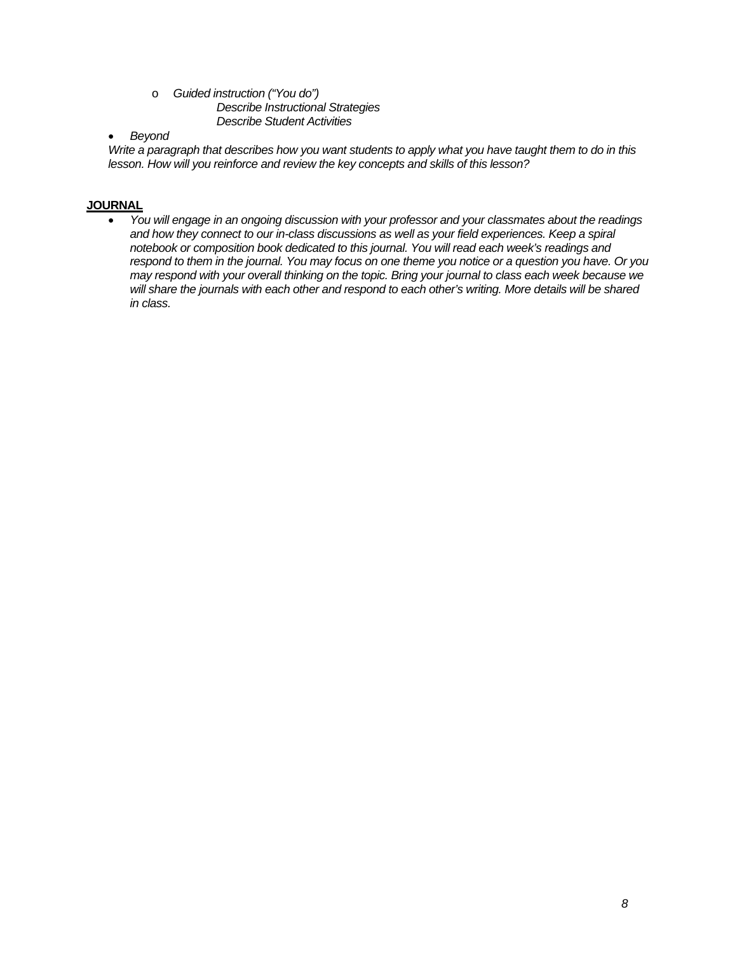### o *Guided instruction ("You do") Describe Instructional Strategies Describe Student Activities*

# *Beyond*

*Write a paragraph that describes how you want students to apply what you have taught them to do in this lesson. How will you reinforce and review the key concepts and skills of this lesson?* 

# **JOURNAL**

 *You will engage in an ongoing discussion with your professor and your classmates about the readings and how they connect to our in-class discussions as well as your field experiences. Keep a spiral notebook or composition book dedicated to this journal. You will read each week's readings and respond to them in the journal. You may focus on one theme you notice or a question you have. Or you may respond with your overall thinking on the topic. Bring your journal to class each week because we will share the journals with each other and respond to each other's writing. More details will be shared in class.*